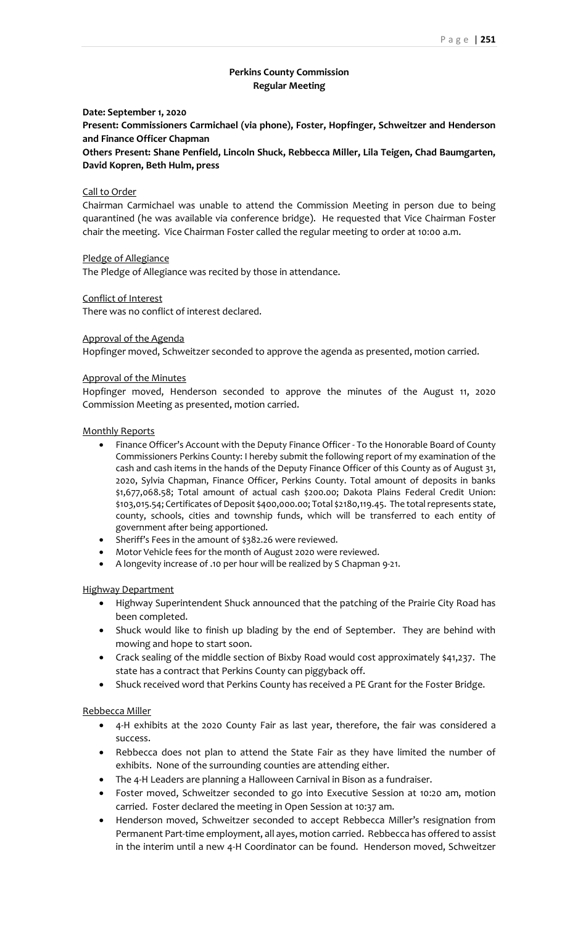# **Perkins County Commission Regular Meeting**

## **Date: September 1, 2020**

**Present: Commissioners Carmichael (via phone), Foster, Hopfinger, Schweitzer and Henderson and Finance Officer Chapman**

**Others Present: Shane Penfield, Lincoln Shuck, Rebbecca Miller, Lila Teigen, Chad Baumgarten, David Kopren, Beth Hulm, press**

## Call to Order

Chairman Carmichael was unable to attend the Commission Meeting in person due to being quarantined (he was available via conference bridge). He requested that Vice Chairman Foster chair the meeting. Vice Chairman Foster called the regular meeting to order at 10:00 a.m.

## Pledge of Allegiance

The Pledge of Allegiance was recited by those in attendance.

## Conflict of Interest

There was no conflict of interest declared.

## Approval of the Agenda

Hopfinger moved, Schweitzer seconded to approve the agenda as presented, motion carried.

## Approval of the Minutes

Hopfinger moved, Henderson seconded to approve the minutes of the August 11, 2020 Commission Meeting as presented, motion carried.

## Monthly Reports

- Finance Officer's Account with the Deputy Finance Officer To the Honorable Board of County Commissioners Perkins County: I hereby submit the following report of my examination of the cash and cash items in the hands of the Deputy Finance Officer of this County as of August 31, 2020, Sylvia Chapman, Finance Officer, Perkins County. Total amount of deposits in banks \$1,677,068.58; Total amount of actual cash \$200.00; Dakota Plains Federal Credit Union: \$103,015.54; Certificates of Deposit \$400,000.00; Total \$2180,119.45. The total represents state, county, schools, cities and township funds, which will be transferred to each entity of government after being apportioned.
- Sheriff's Fees in the amount of \$382.26 were reviewed.
- Motor Vehicle fees for the month of August 2020 were reviewed.
- A longevity increase of .10 per hour will be realized by S Chapman 9-21.

#### Highway Department

- Highway Superintendent Shuck announced that the patching of the Prairie City Road has been completed.
- Shuck would like to finish up blading by the end of September. They are behind with mowing and hope to start soon.
- Crack sealing of the middle section of Bixby Road would cost approximately \$41,237. The state has a contract that Perkins County can piggyback off.
- Shuck received word that Perkins County has received a PE Grant for the Foster Bridge.

## Rebbecca Miller

- 4-H exhibits at the 2020 County Fair as last year, therefore, the fair was considered a success.
- Rebbecca does not plan to attend the State Fair as they have limited the number of exhibits. None of the surrounding counties are attending either.
- The 4-H Leaders are planning a Halloween Carnival in Bison as a fundraiser.
- Foster moved, Schweitzer seconded to go into Executive Session at 10:20 am, motion carried. Foster declared the meeting in Open Session at 10:37 am.
- Henderson moved, Schweitzer seconded to accept Rebbecca Miller's resignation from Permanent Part-time employment, all ayes, motion carried. Rebbecca has offered to assist in the interim until a new 4-H Coordinator can be found. Henderson moved, Schweitzer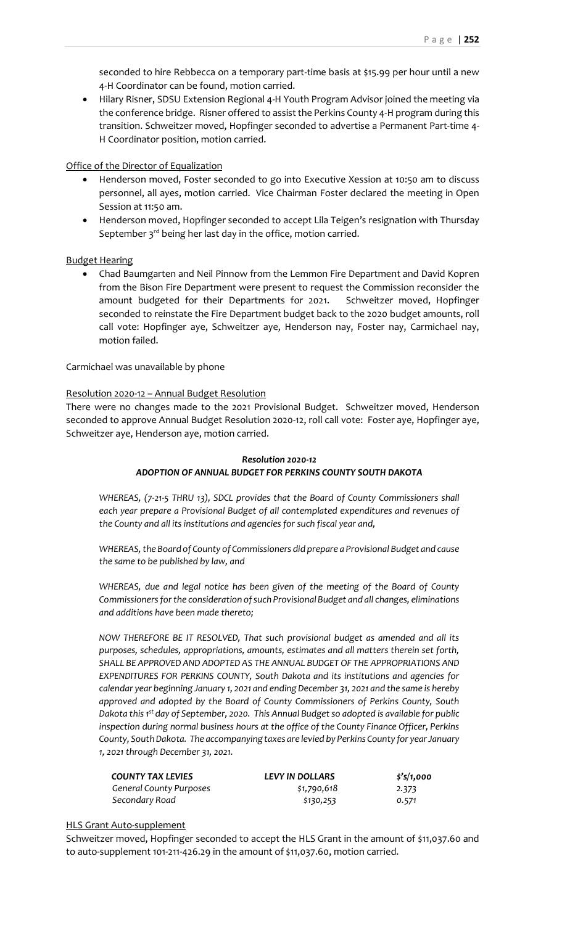seconded to hire Rebbecca on a temporary part-time basis at \$15.99 per hour until a new 4-H Coordinator can be found, motion carried.

• Hilary Risner, SDSU Extension Regional 4-H Youth Program Advisor joined the meeting via the conference bridge. Risner offered to assist the Perkins County 4-H program during this transition. Schweitzer moved, Hopfinger seconded to advertise a Permanent Part-time 4- H Coordinator position, motion carried.

## Office of the Director of Equalization

- Henderson moved, Foster seconded to go into Executive Xession at 10:50 am to discuss personnel, all ayes, motion carried. Vice Chairman Foster declared the meeting in Open Session at 11:50 am.
- Henderson moved, Hopfinger seconded to accept Lila Teigen's resignation with Thursday September  $3^{rd}$  being her last day in the office, motion carried.

## Budget Hearing

• Chad Baumgarten and Neil Pinnow from the Lemmon Fire Department and David Kopren from the Bison Fire Department were present to request the Commission reconsider the amount budgeted for their Departments for 2021. Schweitzer moved, Hopfinger seconded to reinstate the Fire Department budget back to the 2020 budget amounts, roll call vote: Hopfinger aye, Schweitzer aye, Henderson nay, Foster nay, Carmichael nay, motion failed.

## Carmichael was unavailable by phone

#### Resolution 2020-12 – Annual Budget Resolution

There were no changes made to the 2021 Provisional Budget. Schweitzer moved, Henderson seconded to approve Annual Budget Resolution 2020-12, roll call vote: Foster aye, Hopfinger aye, Schweitzer aye, Henderson aye, motion carried.

## *Resolution 2020-12 ADOPTION OF ANNUAL BUDGET FOR PERKINS COUNTY SOUTH DAKOTA*

*WHEREAS, (7-21-5 THRU 13), SDCL provides that the Board of County Commissioners shall each year prepare a Provisional Budget of all contemplated expenditures and revenues of the County and all its institutions and agencies for such fiscal year and,* 

*WHEREAS, the Board of County of Commissioners did prepare a Provisional Budget and cause the same to be published by law, and*

*WHEREAS, due and legal notice has been given of the meeting of the Board of County Commissioners for the consideration of such Provisional Budget and all changes, eliminations and additions have been made thereto;*

*NOW THEREFORE BE IT RESOLVED, That such provisional budget as amended and all its purposes, schedules, appropriations, amounts, estimates and all matters therein set forth, SHALL BE APPROVED AND ADOPTED AS THE ANNUAL BUDGET OF THE APPROPRIATIONS AND EXPENDITURES FOR PERKINS COUNTY, South Dakota and its institutions and agencies for calendar year beginning January 1, 2021 and ending December 31, 2021 and the same is hereby approved and adopted by the Board of County Commissioners of Perkins County, South Dakota this 1st day of September, 2020. This Annual Budget so adopted is available for public inspection during normal business hours at the office of the County Finance Officer, Perkins County, South Dakota. The accompanying taxes are levied by Perkins County for year January 1, 2021 through December 31, 2021.*

| <b>COUNTY TAX LEVIES</b>       | <b>LEVY IN DOLLARS</b> | \$'s/1,000 |
|--------------------------------|------------------------|------------|
| <b>General County Purposes</b> | \$1,790,618            | 2.373      |
| Secondary Road                 | \$130,253              | 0.571      |

#### HLS Grant Auto-supplement

Schweitzer moved, Hopfinger seconded to accept the HLS Grant in the amount of \$11,037.60 and to auto-supplement 101-211-426.29 in the amount of \$11,037.60, motion carried.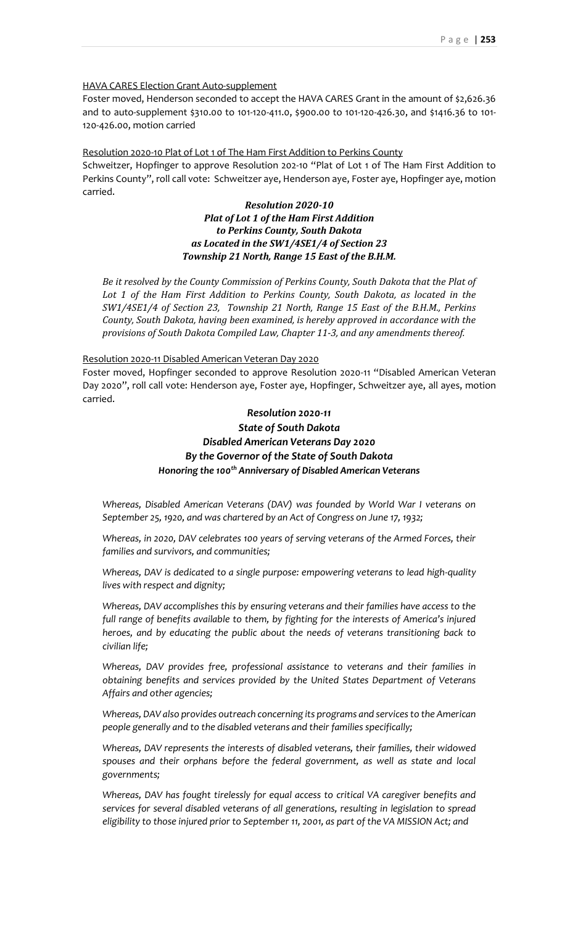#### HAVA CARES Election Grant Auto-supplement

Foster moved, Henderson seconded to accept the HAVA CARES Grant in the amount of \$2,626.36 and to auto-supplement \$310.00 to 101-120-411.0, \$900.00 to 101-120-426.30, and \$1416.36 to 101- 120-426.00, motion carried

#### Resolution 2020-10 Plat of Lot 1 of The Ham First Addition to Perkins County

Schweitzer, Hopfinger to approve Resolution 202-10 "Plat of Lot 1 of The Ham First Addition to Perkins County", roll call vote: Schweitzer aye, Henderson aye, Foster aye, Hopfinger aye, motion carried.

## *Resolution 2020-10 Plat of Lot 1 of the Ham First Addition to Perkins County, South Dakota as Located in the SW1/4SE1/4 of Section 23 Township 21 North, Range 15 East of the B.H.M.*

*Be it resolved by the County Commission of Perkins County, South Dakota that the Plat of Lot 1 of the Ham First Addition to Perkins County, South Dakota, as located in the SW1/4SE1/4 of Section 23, Township 21 North, Range 15 East of the B.H.M., Perkins County, South Dakota, having been examined, is hereby approved in accordance with the provisions of South Dakota Compiled Law, Chapter 11-3, and any amendments thereof.*

#### Resolution 2020-11 Disabled American Veteran Day 2020

Foster moved, Hopfinger seconded to approve Resolution 2020-11 "Disabled American Veteran Day 2020", roll call vote: Henderson aye, Foster aye, Hopfinger, Schweitzer aye, all ayes, motion carried.

# *Resolution 2020-11 State of South Dakota Disabled American Veterans Day 2020 By the Governor of the State of South Dakota Honoring the 100th Anniversary of Disabled American Veterans*

*Whereas, Disabled American Veterans (DAV) was founded by World War I veterans on September 25, 1920, and was chartered by an Act of Congress on June 17, 1932;*

*Whereas, in 2020, DAV celebrates 100 years of serving veterans of the Armed Forces, their families and survivors, and communities;*

*Whereas, DAV is dedicated to a single purpose: empowering veterans to lead high-quality lives with respect and dignity;*

*Whereas, DAV accomplishes this by ensuring veterans and their families have access to the full range of benefits available to them, by fighting for the interests of America's injured heroes, and by educating the public about the needs of veterans transitioning back to civilian life;*

*Whereas, DAV provides free, professional assistance to veterans and their families in obtaining benefits and services provided by the United States Department of Veterans Affairs and other agencies;*

*Whereas, DAV also provides outreach concerning its programs and services to the American people generally and to the disabled veterans and their families specifically;*

*Whereas, DAV represents the interests of disabled veterans, their families, their widowed spouses and their orphans before the federal government, as well as state and local governments;*

*Whereas, DAV has fought tirelessly for equal access to critical VA caregiver benefits and services for several disabled veterans of all generations, resulting in legislation to spread eligibility to those injured prior to September 11, 2001, as part of the VA MISSION Act; and*